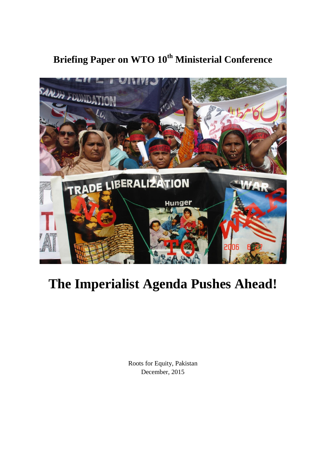## **Briefing Paper on WTO 10th Ministerial Conference**



## **The Imperialist Agenda Pushes Ahead!**

Roots for Equity, Pakistan December, 2015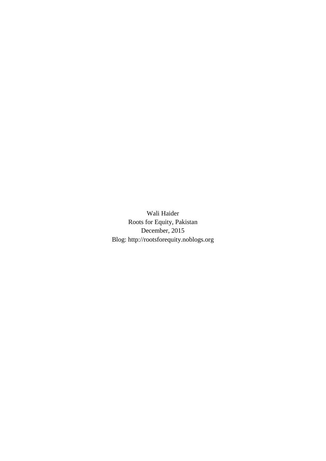Wali Haider Roots for Equity, Pakistan December, 2015 Blog: http://rootsforequity.noblogs.org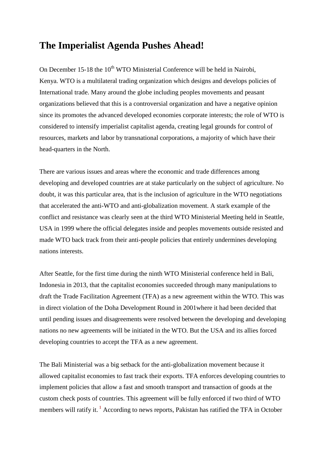## **The Imperialist Agenda Pushes Ahead!**

On December 15-18 the  $10^{th}$  WTO Ministerial Conference will be held in Nairobi. Kenya. WTO is a multilateral trading organization which designs and develops policies of International trade. Many around the globe including peoples movements and peasant organizations believed that this is a controversial organization and have a negative opinion since its promotes the advanced developed economies corporate interests; the role of WTO is considered to intensify imperialist capitalist agenda, creating legal grounds for control of resources, markets and labor by transnational corporations, a majority of which have their head-quarters in the North.

There are various issues and areas where the economic and trade differences among developing and developed countries are at stake particularly on the subject of agriculture. No doubt, it was this particular area, that is the inclusion of agriculture in the WTO negotiations that accelerated the anti-WTO and anti-globalization movement. A stark example of the conflict and resistance was clearly seen at the third WTO Ministerial Meeting held in Seattle, USA in 1999 where the official delegates inside and peoples movements outside resisted and made WTO back track from their anti-people policies that entirely undermines developing nations interests.

After Seattle, for the first time during the ninth WTO Ministerial conference held in Bali, Indonesia in 2013, that the capitalist economies succeeded through many manipulations to draft the Trade Facilitation Agreement (TFA) as a new agreement within the WTO. This was in direct violation of the Doha Development Round in 2001where it had been decided that until pending issues and disagreements were resolved between the developing and developing nations no new agreements will be initiated in the WTO. But the USA and its allies forced developing countries to accept the TFA as a new agreement.

The Bali Ministerial was a big setback for the anti-globalization movement because it allowed capitalist economies to fast track their exports. TFA enforces developing countries to implement policies that allow a fast and smooth transport and transaction of goods at the custom check posts of countries. This agreement will be fully enforced if two third of WTO members will ratify it.<sup>1</sup> According to news reports, Pakistan has ratified the TFA in October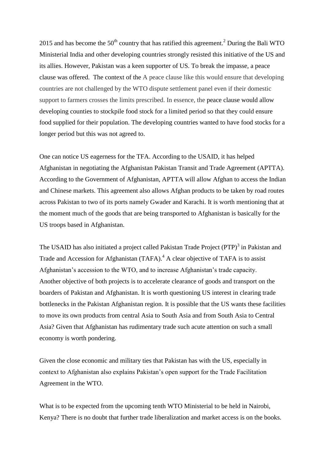2015 and has become the  $50<sup>th</sup>$  country that has ratified this agreement.<sup>2</sup> During the Bali WTO Ministerial India and other developing countries strongly resisted this initiative of the US and its allies. However, Pakistan was a keen supporter of US. To break the impasse, a peace clause was offered. The context of the A peace clause like this would ensure that developing countries are not challenged by the WTO dispute settlement panel even if their domestic support to farmers crosses the limits prescribed. In essence, the peace clause would allow developing counties to stockpile food stock for a limited period so that they could ensure food supplied for their population. The developing countries wanted to have food stocks for a longer period but this was not agreed to.

One can notice US eagerness for the TFA. According to the USAID, it has helped Afghanistan in negotiating the Afghanistan Pakistan Transit and Trade Agreement (APTTA). According to the Government of Afghanistan, APTTA will allow Afghan to access the Indian and Chinese markets. This agreement also allows Afghan products to be taken by road routes across Pakistan to two of its ports namely Gwader and Karachi. It is worth mentioning that at the moment much of the goods that are being transported to Afghanistan is basically for the US troops based in Afghanistan.

The USAID has also initiated a project called Pakistan Trade Project (PTP)<sup>3</sup> in Pakistan and Trade and Accession for Afghanistan (TAFA). <sup>4</sup> A clear objective of TAFA is to assist Afghanistan's accession to the WTO, and to increase Afghanistan's trade capacity. Another objective of both projects is to accelerate clearance of goods and transport on the boarders of Pakistan and Afghanistan. It is worth questioning US interest in clearing trade bottlenecks in the Pakistan Afghanistan region. It is possible that the US wants these facilities to move its own products from central Asia to South Asia and from South Asia to Central Asia? Given that Afghanistan has rudimentary trade such acute attention on such a small economy is worth pondering.

Given the close economic and military ties that Pakistan has with the US, especially in context to Afghanistan also explains Pakistan"s open support for the Trade Facilitation Agreement in the WTO.

What is to be expected from the upcoming tenth WTO Ministerial to be held in Nairobi, Kenya? There is no doubt that further trade liberalization and market access is on the books.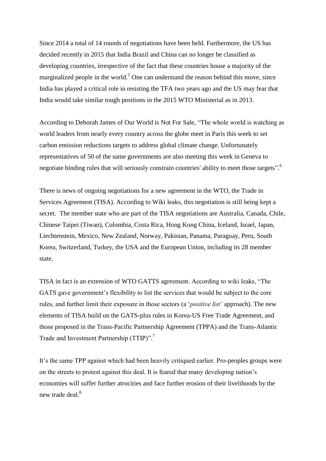Since 2014 a total of 14 rounds of negotiations have been held. Furthermore, the US has decided recently in 2015 that India Brazil and China can no longer be classified as developing countries, irrespective of the fact that these countries house a majority of the marginalized people in the world.<sup>5</sup> One can understand the reason behind this move, since India has played a critical role in resisting the TFA two years ago and the US may fear that India would take similar tough positions in the 2015 WTO Ministerial as in 2013.

According to Deborah James of Our World is Not For Sale, "The whole world is watching as world leaders from nearly every country across the globe meet in Paris this week to set carbon emission reductions targets to address global climate change. Unfortunately representatives of 50 of the same governments are also meeting this week in Geneva to negotiate binding rules that will seriously constrain countries' ability to meet those targets".<sup>6</sup>

There is news of ongoing negotiations for a new agreement in the WTO, the Trade in Services Agreement (TISA). According to Wiki leaks, this negotiation is still being kept a secret. The member state who are part of the TISA negotiations are Australia, Canada, Chile, Chinese Taipei (Tiwan), Colombia, Costa Rica, Hong Kong China, Iceland, Israel, Japan, Liechtenstein, Mexico, New Zealand, Norway, Pakistan, Panama, Paraguay, Peru, South Korea, Switzerland, Turkey, the USA and the European Union, including its 28 member state.

TISA in fact is an extension of WTO GATTS agreement. According to wiki leaks, "The GATS gave government's flexibility to list the services that would be subject to the core rules, and further limit their exposure in those sectors (a "*positive list'* approach). The new elements of TISA build on the GATS-plus rules in Korea-US Free Trade Agreement, and those proposed in the Trans-Pacific Partnership Agreement (TPPA) and the Trans-Atlantic Trade and Investment Partnership (TTIP)".<sup>7</sup>

It"s the same TPP against which had been heavily critiqued earlier. Pro-peoples groups were on the streets to protest against this deal. It is feared that many developing nation"s economies will suffer further atrocities and face further erosion of their livelihoods by the new trade deal.<sup>8</sup>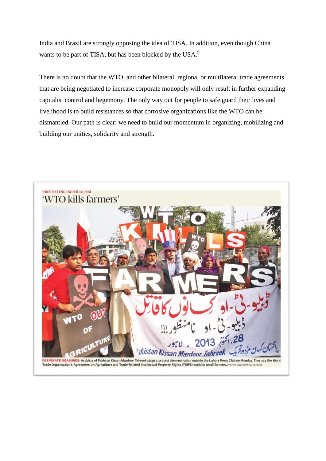India and Brazil are strongly opposing the idea of TISA. In addition, even though China wants to be part of TISA, but has been blocked by the USA.<sup>9</sup>

There is no doubt that the WTO, and other bilateral, regional or multilateral trade agreements that are being negotiated to increase corporate monopoly will only result in further expanding capitalist control and hegemony. The only way out for people to safe guard their lives and livelihood is to build resistances so that corrosive organizations like the WTO can be dismantled. Our path is clear: we need to build our momentum in organizing, mobilizing and building our unities, solidarity and strength.

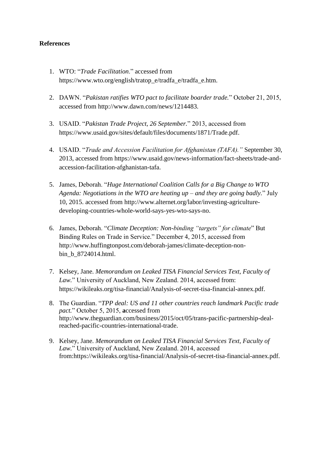## **References**

- 1. WTO: "*Trade Facilitation*." accessed from https://www.wto.org/english/tratop\_e/tradfa\_e/tradfa\_e.htm.
- 2. DAWN. "*Pakistan ratifies WTO pact to facilitate boarder trade.*" October 21, 2015, accessed from http://www.dawn.com/news/1214483.
- 3. USAID. "*Pakistan Trade Project, 26 September.*" 2013, accessed from [https://www.usaid.gov/sites/default/files/documents/1871/Trade.pdf.](https://www.usaid.gov/sites/default/files/documents/1871/Trade.pdf)
- 4. USAID. "*Trade and Accession Facilitation for Afghanistan (TAFA)."* September 30, 2013, accessed from [https://www.usaid.gov/news-information/fact-sheets/trade-and](https://www.usaid.gov/news-information/fact-sheets/trade-and-accession-facilitation-afghanistan-tafa)[accession-facilitation-afghanistan-tafa.](https://www.usaid.gov/news-information/fact-sheets/trade-and-accession-facilitation-afghanistan-tafa)
- 5. James, Deborah. "*Huge International Coalition Calls for a Big Change to WTO Agenda: Negotiations in the WTO are heating up – and they are going badly.*" July 10, 2015. accessed from [http://www.alternet.org/labor/investing-agriculture](http://www.alternet.org/labor/investing-agriculture-developing-countries-whole-world-says-yes-wto-says-no)[developing-countries-whole-world-says-yes-wto-says-no.](http://www.alternet.org/labor/investing-agriculture-developing-countries-whole-world-says-yes-wto-says-no)
- 6. James, Deborah. "*Climate Deception: Non-binding "targets" for climate*" But Binding Rules on Trade in Service." December 4, 2015, accessed from [http://www.huffingtonpost.com/deborah-james/climate-deception-non](http://www.huffingtonpost.com/deborah-james/climate-deception-non-bin_b_8724014.html)[bin\\_b\\_8724014.html.](http://www.huffingtonpost.com/deborah-james/climate-deception-non-bin_b_8724014.html)
- 7. Kelsey, Jane. *Memorandum on Leaked TISA Financial Services Text, Faculty of Law.*" University of Auckland, New Zealand. 2014, accessed from: [https://wikileaks.org/tisa-financial/Analysis-of-secret-tisa-financial-annex.pdf.](https://wikileaks.org/tisa-financial/Analysis-of-secret-tisa-financial-annex.pdf)
- 8. The Guardian. "*TPP deal: US and 11 other countries reach landmark Pacific trade pact.*" October 5, 2015, **a**ccessed from [http://www.theguardian.com/business/2015/oct/05/trans-pacific-partnership-deal](http://www.theguardian.com/business/2015/oct/05/trans-pacific-partnership-deal-reached-pacific-countries-international-trade)[reached-pacific-countries-international-trade.](http://www.theguardian.com/business/2015/oct/05/trans-pacific-partnership-deal-reached-pacific-countries-international-trade)
- 9. Kelsey, Jane. *Memorandum on Leaked TISA Financial Services Text, Faculty of Law.*" University of Auckland, New Zealand. 2014, accessed from[:https://wikileaks.org/tisa-financial/Analysis-of-secret-tisa-financial-annex.pdf.](https://wikileaks.org/tisa-financial/Analysis-of-secret-tisa-financial-annex.pdf)